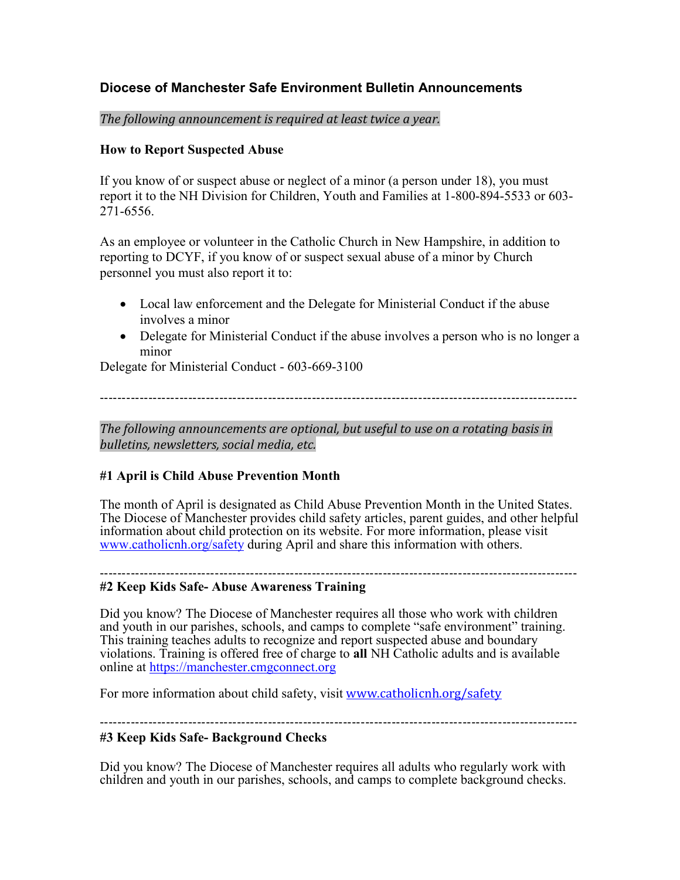# **Diocese of Manchester Safe Environment Bulletin Announcements**

*The following announcement is required at least twice a year.*

#### **How to Report Suspected Abuse**

If you know of or suspect abuse or neglect of a minor (a person under 18), you must report it to the NH Division for Children, Youth and Families at 1-800-894-5533 or 603- 271-6556.

As an employee or volunteer in the Catholic Church in New Hampshire, in addition to reporting to DCYF, if you know of or suspect sexual abuse of a minor by Church personnel you must also report it to:

- Local law enforcement and the Delegate for Ministerial Conduct if the abuse involves a minor
- Delegate for Ministerial Conduct if the abuse involves a person who is no longer a minor

Delegate for Ministerial Conduct - 603-669-3100

------------------------------------------------------------------------------------------------------------

*The following announcements are optional, but useful to use on a rotating basis in bulletins, newsletters, social media, etc.*

## **#1 April is Child Abuse Prevention Month**

The month of April is designated as Child Abuse Prevention Month in the United States. The Diocese of Manchester provides child safety articles, parent guides, and other helpful information about child protection on its website. For more information, please visit [www.catholicnh.org/safety](http://www.catholicnh.org/safety) during April and share this information with others.

#### ------------------------------------------------------------------------------------------------------------ **#2 Keep Kids Safe- Abuse Awareness Training**

Did you know? The Diocese of Manchester requires all those who work with children and youth in our parishes, schools, and camps to complete "safe environment" training. This training teaches adults to recognize and report suspected abuse and boundary violations. Training is offered free of charge to **all** NH Catholic adults and is available online at [https://manchester.cmgconnect.org](https://manchester.cmgconnect.org/)

For more information about child safety, visit [www.catholicnh.org/safety](http://www.catholicnh.org/safety)

------------------------------------------------------------------------------------------------------------

## **#3 Keep Kids Safe- Background Checks**

Did you know? The Diocese of Manchester requires all adults who regularly work with children and youth in our parishes, schools, and camps to complete background checks.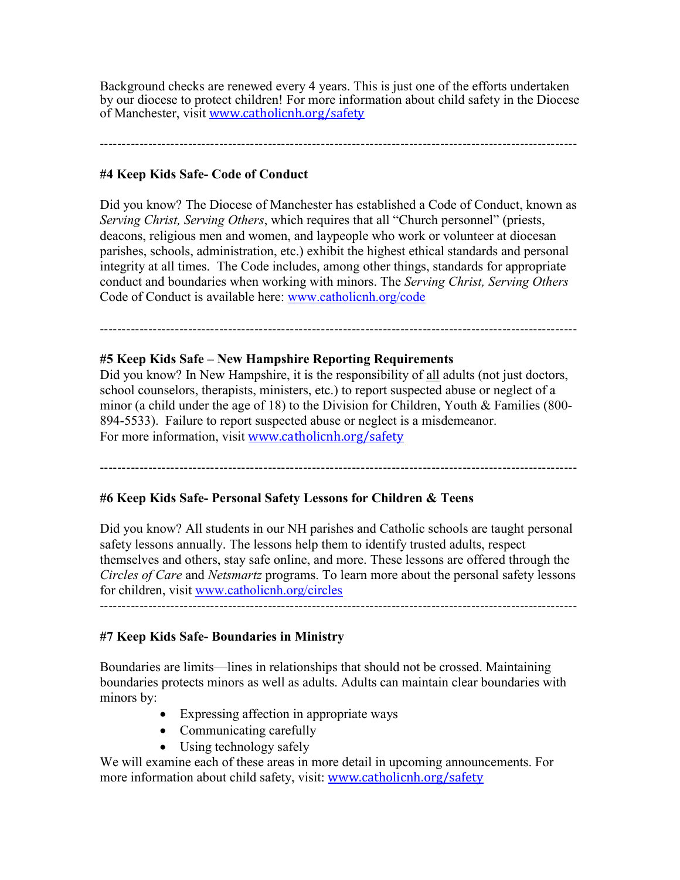Background checks are renewed every 4 years. This is just one of the efforts undertaken by our diocese to protect children! For more information about child safety in the Diocese of Manchester, visit [www.catholicnh.org/safety](http://www.catholicnh.org/safety)

------------------------------------------------------------------------------------------------------------

#### **#4 Keep Kids Safe- Code of Conduct**

Did you know? The Diocese of Manchester has established a Code of Conduct, known as *Serving Christ, Serving Others*, which requires that all "Church personnel" (priests, deacons, religious men and women, and laypeople who work or volunteer at diocesan parishes, schools, administration, etc.) exhibit the highest ethical standards and personal integrity at all times. The Code includes, among other things, standards for appropriate conduct and boundaries when working with minors. The *Serving Christ, Serving Others* Code of Conduct is available here: [www.catholicnh.org/code](http://www.catholicnh.org/code)

# ------------------------------------------------------------------------------------------------------------

#### **#5 Keep Kids Safe – New Hampshire Reporting Requirements**

Did you know? In New Hampshire, it is the responsibility of all adults (not just doctors, school counselors, therapists, ministers, etc.) to report suspected abuse or neglect of a minor (a child under the age of 18) to the Division for Children, Youth & Families (800- 894-5533). Failure to report suspected abuse or neglect is a misdemeanor. For more information, visit [www.catholicnh.org/safety](http://www.catholicnh.org/safety)

------------------------------------------------------------------------------------------------------------

#### **#6 Keep Kids Safe- Personal Safety Lessons for Children & Teens**

Did you know? All students in our NH parishes and Catholic schools are taught personal safety lessons annually. The lessons help them to identify trusted adults, respect themselves and others, stay safe online, and more. These lessons are offered through the *Circles of Care* and *Netsmartz* programs. To learn more about the personal safety lessons for children, visit [www.catholicnh.org/circles](http://www.catholicnh.org/circles) ------------------------------------------------------------------------------------------------------------

#### **#7 Keep Kids Safe- Boundaries in Ministry**

Boundaries are limits—lines in relationships that should not be crossed. Maintaining boundaries protects minors as well as adults. Adults can maintain clear boundaries with minors by:

- Expressing affection in appropriate ways
- Communicating carefully
- Using technology safely

We will examine each of these areas in more detail in upcoming announcements. For more information about child safety, visit: [www.catholicnh.org/safety](http://www.catholicnh.org/safety)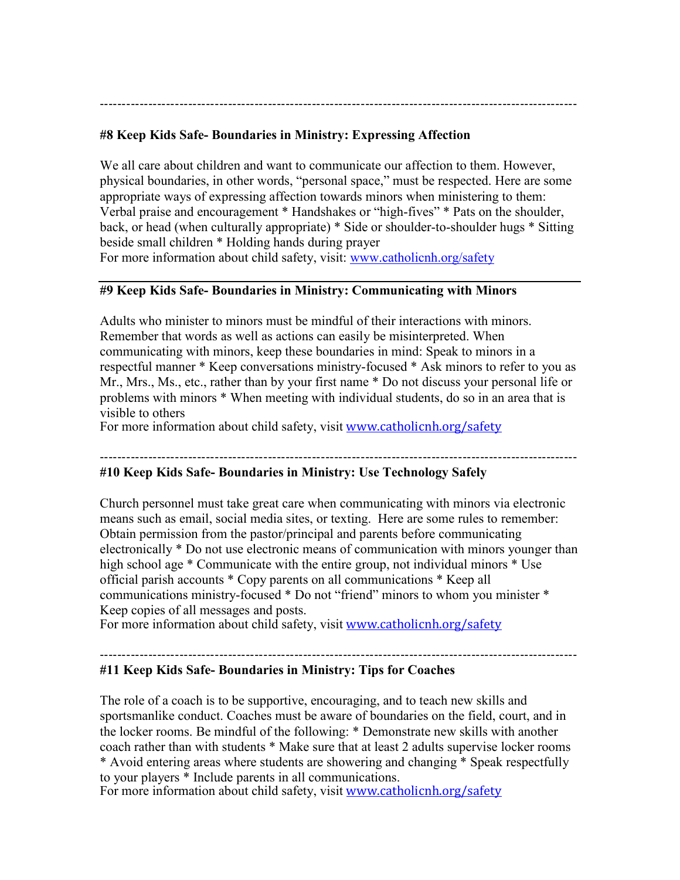------------------------------------------------------------------------------------------------------------

#### **#8 Keep Kids Safe- Boundaries in Ministry: Expressing Affection**

We all care about children and want to communicate our affection to them. However, physical boundaries, in other words, "personal space," must be respected. Here are some appropriate ways of expressing affection towards minors when ministering to them: Verbal praise and encouragement \* Handshakes or "high-fives" \* Pats on the shoulder, back, or head (when culturally appropriate) \* Side or shoulder-to-shoulder hugs \* Sitting beside small children \* Holding hands during prayer For more information about child safety, visit: [www.catholicnh.org/safety](http://www.catholicnh.org/safety)

#### **#9 Keep Kids Safe- Boundaries in Ministry: Communicating with Minors**

Adults who minister to minors must be mindful of their interactions with minors. Remember that words as well as actions can easily be misinterpreted. When communicating with minors, keep these boundaries in mind: Speak to minors in a respectful manner \* Keep conversations ministry-focused \* Ask minors to refer to you as Mr., Mrs., Ms., etc., rather than by your first name \* Do not discuss your personal life or problems with minors \* When meeting with individual students, do so in an area that is visible to others

For more information about child safety, visit [www.catholicnh.org/safety](http://www.catholicnh.org/safety)

------------------------------------------------------------------------------------------------------------

#### **#10 Keep Kids Safe- Boundaries in Ministry: Use Technology Safely**

Church personnel must take great care when communicating with minors via electronic means such as email, social media sites, or texting. Here are some rules to remember: Obtain permission from the pastor/principal and parents before communicating electronically \* Do not use electronic means of communication with minors younger than high school age \* Communicate with the entire group, not individual minors \* Use official parish accounts \* Copy parents on all communications \* Keep all communications ministry-focused \* Do not "friend" minors to whom you minister \* Keep copies of all messages and posts.

For more information about child safety, visit [www.catholicnh.org/safety](http://www.catholicnh.org/safety)

------------------------------------------------------------------------------------------------------------

#### **#11 Keep Kids Safe- Boundaries in Ministry: Tips for Coaches**

The role of a coach is to be supportive, encouraging, and to teach new skills and sportsmanlike conduct. Coaches must be aware of boundaries on the field, court, and in the locker rooms. Be mindful of the following: \* Demonstrate new skills with another coach rather than with students \* Make sure that at least 2 adults supervise locker rooms \* Avoid entering areas where students are showering and changing \* Speak respectfully to your players \* Include parents in all communications.

For more information about child safety, visit [www.catholicnh.org/safety](http://www.catholicnh.org/safety)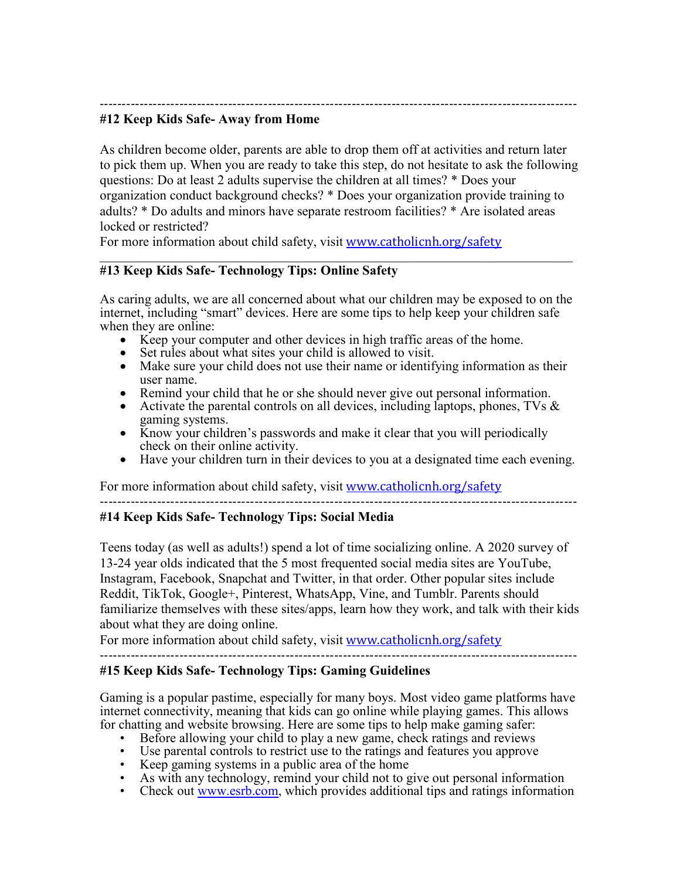------------------------------------------------------------------------------------------------------------

#### **#12 Keep Kids Safe- Away from Home**

As children become older, parents are able to drop them off at activities and return later to pick them up. When you are ready to take this step, do not hesitate to ask the following questions: Do at least 2 adults supervise the children at all times? \* Does your organization conduct background checks? \* Does your organization provide training to adults? \* Do adults and minors have separate restroom facilities? \* Are isolated areas locked or restricted?

For more information about child safety, visit [www.catholicnh.org/safety](http://www.catholicnh.org/safety)

#### **#13 Keep Kids Safe- Technology Tips: Online Safety**

As caring adults, we are all concerned about what our children may be exposed to on the internet, including "smart" devices. Here are some tips to help keep your children safe when they are online:

 $\mathcal{L}_\text{max} = \mathcal{L}_\text{max} = \mathcal{L}_\text{max} = \mathcal{L}_\text{max} = \mathcal{L}_\text{max} = \mathcal{L}_\text{max} = \mathcal{L}_\text{max} = \mathcal{L}_\text{max} = \mathcal{L}_\text{max} = \mathcal{L}_\text{max} = \mathcal{L}_\text{max} = \mathcal{L}_\text{max} = \mathcal{L}_\text{max} = \mathcal{L}_\text{max} = \mathcal{L}_\text{max} = \mathcal{L}_\text{max} = \mathcal{L}_\text{max} = \mathcal{L}_\text{max} = \mathcal{$ 

- Keep your computer and other devices in high traffic areas of the home.
- Set rules about what sites your child is allowed to visit.
- Make sure your child does not use their name or identifying information as their user name.
- Remind your child that he or she should never give out personal information.
- Activate the parental controls on all devices, including laptops, phones, TVs & gaming systems.
- Know your children's passwords and make it clear that you will periodically check on their online activity.
- Have your children turn in their devices to you at a designated time each evening.

For more information about child safety, visit [www.catholicnh.org/safety](http://www.catholicnh.org/safety)

------------------------------------------------------------------------------------------------------------

## **#14 Keep Kids Safe- Technology Tips: Social Media**

Teens today (as well as adults!) spend a lot of time socializing online. A 2020 survey of 13-24 year olds indicated that the 5 most frequented social media sites are YouTube, Instagram, Facebook, Snapchat and Twitter, in that order. Other popular sites include Reddit, TikTok, Google+, Pinterest, WhatsApp, Vine, and Tumblr. Parents should familiarize themselves with these sites/apps, learn how they work, and talk with their kids about what they are doing online.

For more information about child safety, visit [www.catholicnh.org/safety](http://www.catholicnh.org/safety)

# **#15 Keep Kids Safe- Technology Tips: Gaming Guidelines**

Gaming is a popular pastime, especially for many boys. Most video game platforms have internet connectivity, meaning that kids can go online while playing games. This allows for chatting and website browsing. Here are some tips to help make gaming safer:<br>• Before allowing your child to play a new game, check ratings and reviews

------------------------------------------------------------------------------------------------------------

- 
- 
- 
- Use parental controls to restrict use to the ratings and features you approve<br>• Keep gaming systems in a public area of the home<br>• As with a[ny technology, re](http://www.esrb.com/)mind your child not to give out personal information<br>• Check ou
-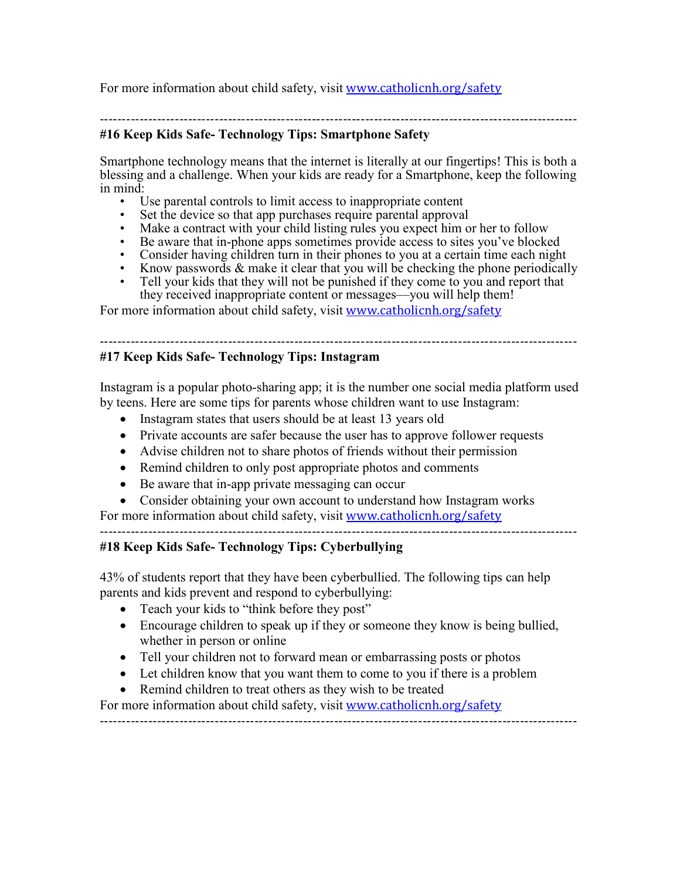For more information about child safety, visit [www.catholicnh.org/safety](http://www.catholicnh.org/safety)

#### ------------------------------------------------------------------------------------------------------------

## **#16 Keep Kids Safe- Technology Tips: Smartphone Safety**

Smartphone technology means that the internet is literally at our fingertips! This is both a blessing and a challenge. When your kids are ready for a Smartphone, keep the following in mind:

- Use parental controls to limit access to inappropriate content
- Set the device so that app purchases require parental approval
- Make a contract with your child listing rules you expect him or her to follow
- Be aware that in-phone apps sometimes provide access to sites you've blocked
- Consider having children turn in their phones to you at a certain time each night
- Know passwords & make it clear that you will be checking the phone periodically
- Tell your kids that they will not be punished if they come to you and report that they received inappropriate content or messages—you will help them!

For more information about child safety, visit [www.catholicnh.org/safety](http://www.catholicnh.org/safety)

#### ------------------------------------------------------------------------------------------------------------

## **#17 Keep Kids Safe- Technology Tips: Instagram**

Instagram is a popular photo-sharing app; it is the number one social media platform used by teens. Here are some tips for parents whose children want to use Instagram:

- Instagram states that users should be at least 13 years old
- Private accounts are safer because the user has to approve follower requests
- Advise children not to share photos of friends without their permission
- Remind children to only post appropriate photos and comments
- Be aware that in-app private messaging can occur
- Consider obtaining your own account to understand how Instagram works

For more information about child safety, visit [www.catholicnh.org/safety](http://www.catholicnh.org/safety)

# ------------------------------------------------------------------------------------------------------------

# **#18 Keep Kids Safe- Technology Tips: Cyberbullying**

43% of students report that they have been cyberbullied. The following tips can help parents and kids prevent and respond to cyberbullying:

- Teach your kids to "think before they post"
- Encourage children to speak up if they or someone they know is being bullied, whether in person or online
- Tell your children not to forward mean or embarrassing posts or photos
- Let children know that you want them to come to you if there is a problem
- Remind children to treat others as they wish to be treated

For more information about child safety, visit [www.catholicnh.org/safety](http://www.catholicnh.org/safety)

------------------------------------------------------------------------------------------------------------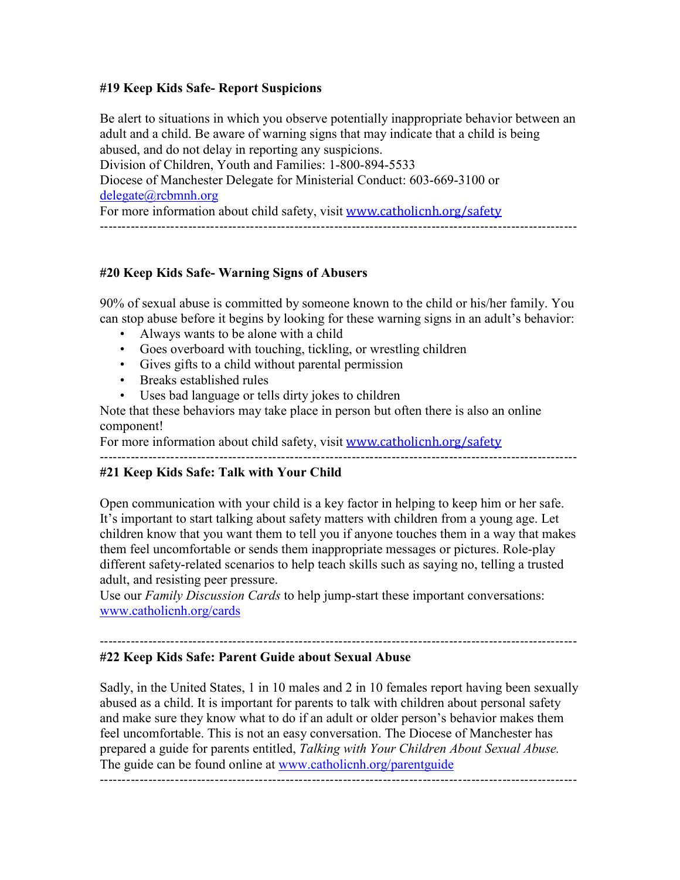#### **#19 Keep Kids Safe- Report Suspicions**

Be alert to situations in which you observe potentially inappropriate behavior between an adult and a child. Be aware of warning signs that may indicate that a child is being abused, and do not delay in reporting any suspicions. Division of Children, Youth and Families: 1-800-894-5533 Diocese of Manchester Delegate for Ministerial Conduct: 603-669-3100 or [delegate@rcbmnh.org](mailto:delegate@rcbmnh.org) For more information about child safety, visit [www.catholicnh.org/safety](http://www.catholicnh.org/safety) ------------------------------------------------------------------------------------------------------------

## **#20 Keep Kids Safe- Warning Signs of Abusers**

90% of sexual abuse is committed by someone known to the child or his/her family. You can stop abuse before it begins by looking for these warning signs in an adult's behavior:

- Always wants to be alone with a child
- Goes overboard with touching, tickling, or wrestling children
- Gives gifts to a child without parental permission
- Breaks established rules
- Uses bad language or tells dirty jokes to children

Note that these behaviors may take place in person but often there is also an online component!

For more information about child safety, visit [www.catholicnh.org/safety](http://www.catholicnh.org/safety)

------------------------------------------------------------------------------------------------------------

#### **#21 Keep Kids Safe: Talk with Your Child**

Open communication with your child is a key factor in helping to keep him or her safe. It's important to start talking about safety matters with children from a young age. Let children know that you want them to tell you if anyone touches them in a way that makes them feel uncomfortable or sends them inappropriate messages or pictures. Role-play different safety-related scenarios to help teach skills such as saying no, telling a trusted adult, and resisting peer pressure.

Use our *Family Discussion Cards* to help jump-start these important conversations: [www.catholicnh.org/cards](http://www.catholicnh.org/cards)

#### ------------------------------------------------------------------------------------------------------------ **#22 Keep Kids Safe: Parent Guide about Sexual Abuse**

Sadly, in the United States, 1 in 10 males and 2 in 10 females report having been sexually abused as a child. It is important for parents to talk with children about personal safety and make sure they know what to do if an adult or older person's behavior makes them feel uncomfortable. This is not an easy conversation. The Diocese of Manchester has prepared a guide for parents entitled, *Talking with Your Children About Sexual Abuse.* The guide can be found online at [www.catholicnh.org/parentguide](http://www.catholicnh.org/parentguide)

------------------------------------------------------------------------------------------------------------